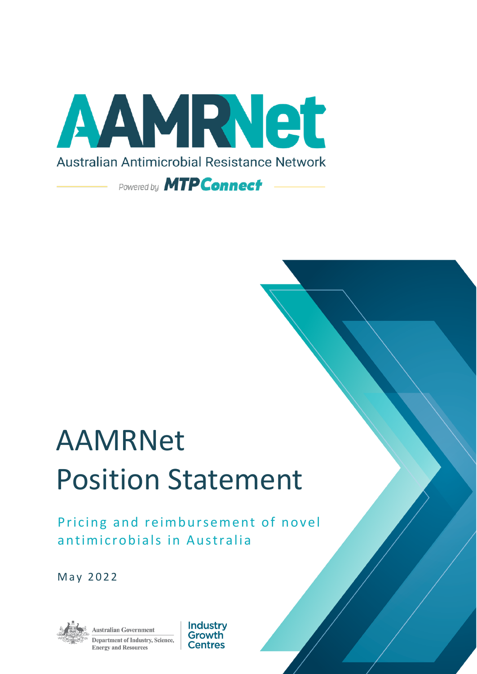

# **AAMRNet Position Statement**

Pricing and reimbursement of novel antimicrobials in Australia

May 2022



Australian Government Department of Industry, Science, **Energy and Resources** 

Industrv Growth **Centres**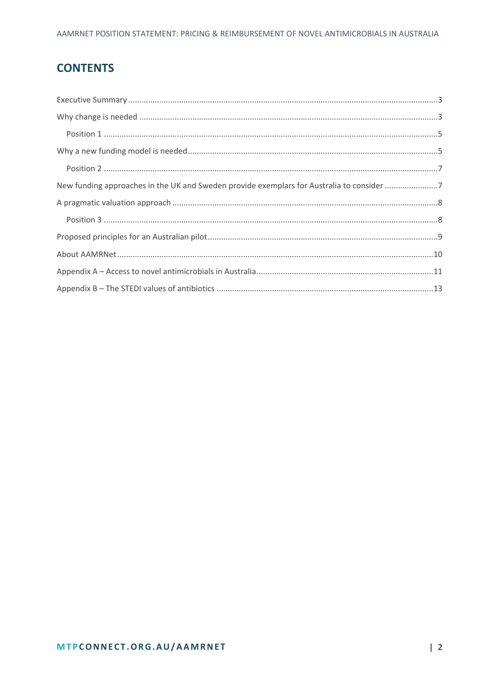# **CONTENTS**

| New funding approaches in the UK and Sweden provide exemplars for Australia to consider 7 |  |
|-------------------------------------------------------------------------------------------|--|
|                                                                                           |  |
|                                                                                           |  |
|                                                                                           |  |
|                                                                                           |  |
|                                                                                           |  |
|                                                                                           |  |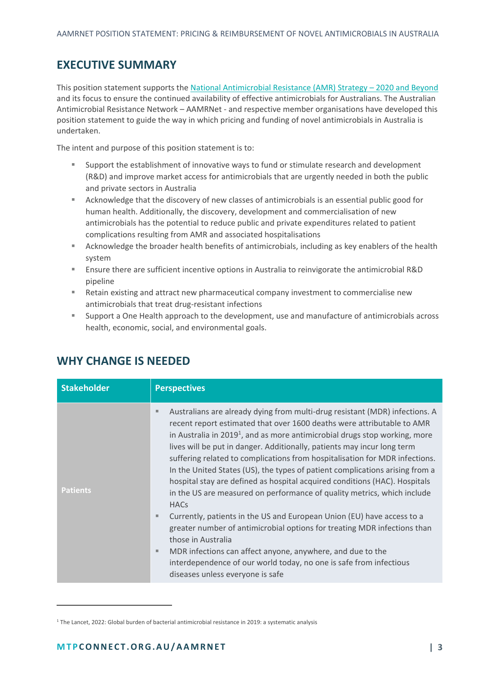# <span id="page-2-0"></span>**EXECUTIVE SUMMARY**

This position statement supports the [National Antimicrobial Resistance \(AMR\)](https://www.amr.gov.au/australias-response/national-amr-strategy) Strategy – 2020 and Beyond and its focus to ensure the continued availability of effective antimicrobials for Australians. The Australian Antimicrobial Resistance Network – AAMRNet - and respective member organisations have developed this position statement to guide the way in which pricing and funding of novel antimicrobials in Australia is undertaken.

The intent and purpose of this position statement is to:

- **EX Support the establishment of innovative ways to fund or stimulate research and development** (R&D) and improve market access for antimicrobials that are urgently needed in both the public and private sectors in Australia
- Acknowledge that the discovery of new classes of antimicrobials is an essential public good for human health. Additionally, the discovery, development and commercialisation of new antimicrobials has the potential to reduce public and private expenditures related to patient complications resulting from AMR and associated hospitalisations
- Acknowledge the broader health benefits of antimicrobials, including as key enablers of the health system
- Ensure there are sufficient incentive options in Australia to reinvigorate the antimicrobial R&D pipeline
- Retain existing and attract new pharmaceutical company investment to commercialise new antimicrobials that treat drug-resistant infections
- Support a One Health approach to the development, use and manufacture of antimicrobials across health, economic, social, and environmental goals.

| <b>Stakeholder</b> | <b>Perspectives</b>                                                                                                                                                                                                                                                                                                                                                                                                                                                                                                                                                                                                                                                                                                                                                                                                                                                                                                                                                                                                                  |
|--------------------|--------------------------------------------------------------------------------------------------------------------------------------------------------------------------------------------------------------------------------------------------------------------------------------------------------------------------------------------------------------------------------------------------------------------------------------------------------------------------------------------------------------------------------------------------------------------------------------------------------------------------------------------------------------------------------------------------------------------------------------------------------------------------------------------------------------------------------------------------------------------------------------------------------------------------------------------------------------------------------------------------------------------------------------|
| <b>Patients</b>    | Australians are already dying from multi-drug resistant (MDR) infections. A<br>ш<br>recent report estimated that over 1600 deaths were attributable to AMR<br>in Australia in 2019 <sup>1</sup> , and as more antimicrobial drugs stop working, more<br>lives will be put in danger. Additionally, patients may incur long term<br>suffering related to complications from hospitalisation for MDR infections.<br>In the United States (US), the types of patient complications arising from a<br>hospital stay are defined as hospital acquired conditions (HAC). Hospitals<br>in the US are measured on performance of quality metrics, which include<br><b>HACs</b><br>Currently, patients in the US and European Union (EU) have access to a<br>ш<br>greater number of antimicrobial options for treating MDR infections than<br>those in Australia<br>MDR infections can affect anyone, anywhere, and due to the<br>ш<br>interdependence of our world today, no one is safe from infectious<br>diseases unless everyone is safe |

## <span id="page-2-1"></span>**WHY CHANGE IS NEEDED**

<sup>&</sup>lt;sup>1</sup> The Lancet, 2022: Global burden of bacterial antimicrobial resistance in 2019: a systematic analysis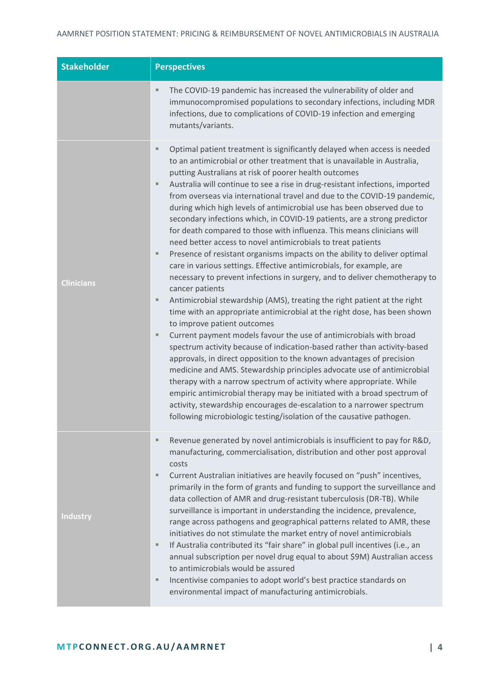| <b>Stakeholder</b> | <b>Perspectives</b>                                                                                                                                                                                                                                                                                                                                                                                                                                                                                                                                                                                                                                                                                                                                                                                                                                                                                                                                                                                                                                                                                                                                                                                                                                                                                                                                                                                                                                                                                                                                                                                                                                                                                                                                    |  |
|--------------------|--------------------------------------------------------------------------------------------------------------------------------------------------------------------------------------------------------------------------------------------------------------------------------------------------------------------------------------------------------------------------------------------------------------------------------------------------------------------------------------------------------------------------------------------------------------------------------------------------------------------------------------------------------------------------------------------------------------------------------------------------------------------------------------------------------------------------------------------------------------------------------------------------------------------------------------------------------------------------------------------------------------------------------------------------------------------------------------------------------------------------------------------------------------------------------------------------------------------------------------------------------------------------------------------------------------------------------------------------------------------------------------------------------------------------------------------------------------------------------------------------------------------------------------------------------------------------------------------------------------------------------------------------------------------------------------------------------------------------------------------------------|--|
|                    | The COVID-19 pandemic has increased the vulnerability of older and<br>ш<br>immunocompromised populations to secondary infections, including MDR<br>infections, due to complications of COVID-19 infection and emerging<br>mutants/variants.                                                                                                                                                                                                                                                                                                                                                                                                                                                                                                                                                                                                                                                                                                                                                                                                                                                                                                                                                                                                                                                                                                                                                                                                                                                                                                                                                                                                                                                                                                            |  |
| <b>Clinicians</b>  | Optimal patient treatment is significantly delayed when access is needed<br>ш<br>to an antimicrobial or other treatment that is unavailable in Australia,<br>putting Australians at risk of poorer health outcomes<br>Australia will continue to see a rise in drug-resistant infections, imported<br>ш<br>from overseas via international travel and due to the COVID-19 pandemic,<br>during which high levels of antimicrobial use has been observed due to<br>secondary infections which, in COVID-19 patients, are a strong predictor<br>for death compared to those with influenza. This means clinicians will<br>need better access to novel antimicrobials to treat patients<br>Presence of resistant organisms impacts on the ability to deliver optimal<br>ш<br>care in various settings. Effective antimicrobials, for example, are<br>necessary to prevent infections in surgery, and to deliver chemotherapy to<br>cancer patients<br>Antimicrobial stewardship (AMS), treating the right patient at the right<br>ш<br>time with an appropriate antimicrobial at the right dose, has been shown<br>to improve patient outcomes<br>Current payment models favour the use of antimicrobials with broad<br>ш<br>spectrum activity because of indication-based rather than activity-based<br>approvals, in direct opposition to the known advantages of precision<br>medicine and AMS. Stewardship principles advocate use of antimicrobial<br>therapy with a narrow spectrum of activity where appropriate. While<br>empiric antimicrobial therapy may be initiated with a broad spectrum of<br>activity, stewardship encourages de-escalation to a narrower spectrum<br>following microbiologic testing/isolation of the causative pathogen. |  |
| <b>Industry</b>    | Revenue generated by novel antimicrobials is insufficient to pay for R&D,<br>ш<br>manufacturing, commercialisation, distribution and other post approval<br>costs<br>Current Australian initiatives are heavily focused on "push" incentives,<br>ш<br>primarily in the form of grants and funding to support the surveillance and<br>data collection of AMR and drug-resistant tuberculosis (DR-TB). While<br>surveillance is important in understanding the incidence, prevalence,<br>range across pathogens and geographical patterns related to AMR, these<br>initiatives do not stimulate the market entry of novel antimicrobials<br>If Australia contributed its "fair share" in global pull incentives (i.e., an<br>ш<br>annual subscription per novel drug equal to about \$9M) Australian access<br>to antimicrobials would be assured<br>Incentivise companies to adopt world's best practice standards on<br>ш<br>environmental impact of manufacturing antimicrobials.                                                                                                                                                                                                                                                                                                                                                                                                                                                                                                                                                                                                                                                                                                                                                                     |  |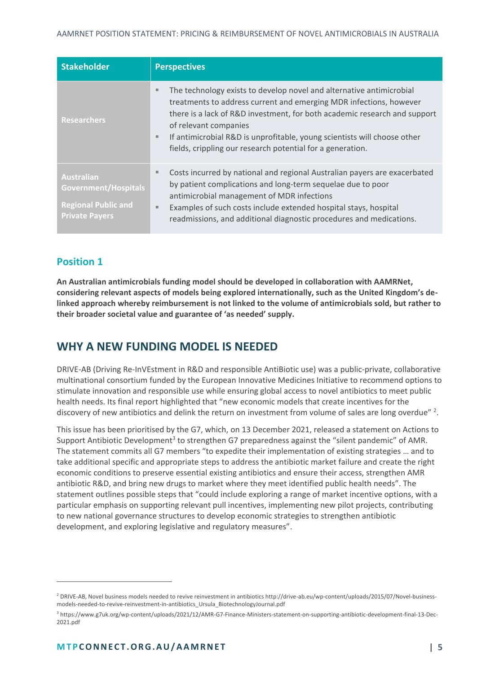| <b>Stakeholder</b>                                                                               | <b>Perspectives</b>                                                                                                                                                                                                                                                                                                                                                                                  |  |
|--------------------------------------------------------------------------------------------------|------------------------------------------------------------------------------------------------------------------------------------------------------------------------------------------------------------------------------------------------------------------------------------------------------------------------------------------------------------------------------------------------------|--|
| <b>Researchers</b>                                                                               | The technology exists to develop novel and alternative antimicrobial<br>皿<br>treatments to address current and emerging MDR infections, however<br>there is a lack of R&D investment, for both academic research and support<br>of relevant companies<br>If antimicrobial R&D is unprofitable, young scientists will choose other<br>ш<br>fields, crippling our research potential for a generation. |  |
| <b>Australian</b><br>Government/Hospitals<br><b>Regional Public and</b><br><b>Private Payers</b> | Costs incurred by national and regional Australian payers are exacerbated<br>ш<br>by patient complications and long-term sequelae due to poor<br>antimicrobial management of MDR infections<br>Examples of such costs include extended hospital stays, hospital<br>ш<br>readmissions, and additional diagnostic procedures and medications.                                                          |  |

### <span id="page-4-0"></span>**Position 1**

**An Australian antimicrobials funding model should be developed in collaboration with AAMRNet, considering relevant aspects of models being explored internationally, such as the United Kingdom's delinked approach whereby reimbursement is not linked to the volume of antimicrobials sold, but rather to their broader societal value and guarantee of 'as needed' supply.**

# <span id="page-4-1"></span>**WHY A NEW FUNDING MODEL IS NEEDED**

DRIVE-AB (Driving Re-InVEstment in R&D and responsible AntiBiotic use) was a public-private, collaborative multinational consortium funded by the European Innovative Medicines Initiative to recommend options to stimulate innovation and responsible use while ensuring global access to novel antibiotics to meet public health needs. Its final report highlighted that "new economic models that create incentives for the discovery of new antibiotics and delink the return on investment from volume of sales are long overdue"<sup>2</sup>.

This issue has been prioritised by the G7, which, on 13 December 2021, released a statement on Actions to Support Antibiotic Development<sup>3</sup> to strengthen G7 preparedness against the "silent pandemic" of AMR. The statement commits all G7 members "to expedite their implementation of existing strategies … and to take additional specific and appropriate steps to address the antibiotic market failure and create the right economic conditions to preserve essential existing antibiotics and ensure their access, strengthen AMR antibiotic R&D, and bring new drugs to market where they meet identified public health needs". The statement outlines possible steps that "could include exploring a range of market incentive options, with a particular emphasis on supporting relevant pull incentives, implementing new pilot projects, contributing to new national governance structures to develop economic strategies to strengthen antibiotic development, and exploring legislative and regulatory measures".

<sup>&</sup>lt;sup>2</sup> DRIVE-AB, Novel business models needed to revive reinvestment in antibiotics http://drive-ab.eu/wp-content/uploads/2015/07/Novel-businessmodels-needed-to-revive-reinvestment-in-antibiotics\_Ursula\_BiotechnologyJournal.pdf

<sup>3</sup> https://www.g7uk.org/wp-content/uploads/2021/12/AMR-G7-Finance-Ministers-statement-on-supporting-antibiotic-development-final-13-Dec-2021.pdf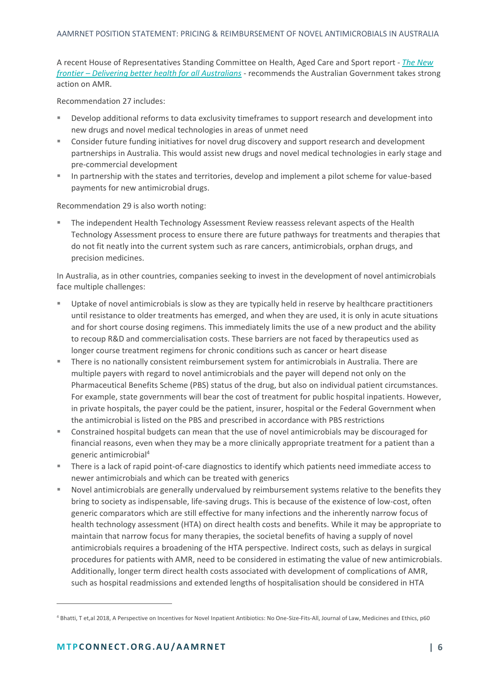#### AAMRNET POSITION STATEMENT: PRICING & REIMBURSEMENT OF NOVEL ANTIMICROBIALS IN AUSTRALIA

A recent House of Representatives Standing Committee on Health, Aged Care and Sport report - *[The New](https://parlinfo.aph.gov.au/parlInfo/download/committees/reportrep/024755/toc_pdf/TheNewFrontier-DeliveringbetterhealthforallAustralians.pdf;fileType=application%2Fpdf)  frontier – [Delivering better health for all Australians](https://parlinfo.aph.gov.au/parlInfo/download/committees/reportrep/024755/toc_pdf/TheNewFrontier-DeliveringbetterhealthforallAustralians.pdf;fileType=application%2Fpdf)* - recommends the Australian Government takes strong action on AMR.

Recommendation 27 includes:

- **EXECT** Develop additional reforms to data exclusivity timeframes to support research and development into new drugs and novel medical technologies in areas of unmet need
- Consider future funding initiatives for novel drug discovery and support research and development partnerships in Australia. This would assist new drugs and novel medical technologies in early stage and pre-commercial development
- In partnership with the states and territories, develop and implement a pilot scheme for value-based payments for new antimicrobial drugs.

Recommendation 29 is also worth noting:

The independent Health Technology Assessment Review reassess relevant aspects of the Health Technology Assessment process to ensure there are future pathways for treatments and therapies that do not fit neatly into the current system such as rare cancers, antimicrobials, orphan drugs, and precision medicines.

In Australia, as in other countries, companies seeking to invest in the development of novel antimicrobials face multiple challenges:

- Uptake of novel antimicrobials is slow as they are typically held in reserve by healthcare practitioners until resistance to older treatments has emerged, and when they are used, it is only in acute situations and for short course dosing regimens. This immediately limits the use of a new product and the ability to recoup R&D and commercialisation costs. These barriers are not faced by therapeutics used as longer course treatment regimens for chronic conditions such as cancer or heart disease
- There is no nationally consistent reimbursement system for antimicrobials in Australia. There are multiple payers with regard to novel antimicrobials and the payer will depend not only on the Pharmaceutical Benefits Scheme (PBS) status of the drug, but also on individual patient circumstances. For example, state governments will bear the cost of treatment for public hospital inpatients. However, in private hospitals, the payer could be the patient, insurer, hospital or the Federal Government when the antimicrobial is listed on the PBS and prescribed in accordance with PBS restrictions
- Constrained hospital budgets can mean that the use of novel antimicrobials may be discouraged for financial reasons, even when they may be a more clinically appropriate treatment for a patient than a generic antimicrobial<sup>4</sup>
- There is a lack of rapid point-of-care diagnostics to identify which patients need immediate access to newer antimicrobials and which can be treated with generics
- Novel antimicrobials are generally undervalued by reimbursement systems relative to the benefits they bring to society as indispensable, life-saving drugs. This is because of the existence of low-cost, often generic comparators which are still effective for many infections and the inherently narrow focus of health technology assessment (HTA) on direct health costs and benefits. While it may be appropriate to maintain that narrow focus for many therapies, the societal benefits of having a supply of novel antimicrobials requires a broadening of the HTA perspective. Indirect costs, such as delays in surgical procedures for patients with AMR, need to be considered in estimating the value of new antimicrobials. Additionally, longer term direct health costs associated with development of complications of AMR, such as hospital readmissions and extended lengths of hospitalisation should be considered in HTA

<sup>4</sup> Bhatti, T et,al 2018, A Perspective on Incentives for Novel Inpatient Antibiotics: No One-Size-Fits-All, Journal of Law, Medicines and Ethics, p60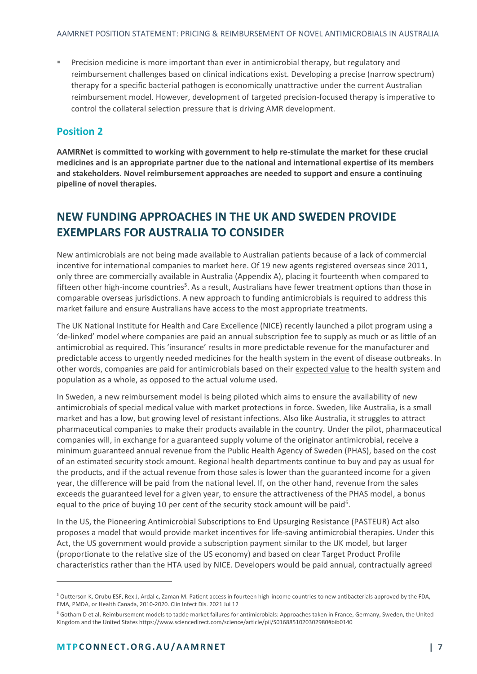**EXECT** Precision medicine is more important than ever in antimicrobial therapy, but regulatory and reimbursement challenges based on clinical indications exist. Developing a precise (narrow spectrum) therapy for a specific bacterial pathogen is economically unattractive under the current Australian reimbursement model. However, development of targeted precision-focused therapy is imperative to control the collateral selection pressure that is driving AMR development.

#### <span id="page-6-0"></span>**Position 2**

**AAMRNet is committed to working with government to help re-stimulate the market for these crucial medicines and is an appropriate partner due to the national and international expertise of its members and stakeholders. Novel reimbursement approaches are needed to support and ensure a continuing pipeline of novel therapies.** 

# <span id="page-6-1"></span>**NEW FUNDING APPROACHES IN THE UK AND SWEDEN PROVIDE EXEMPLARS FOR AUSTRALIA TO CONSIDER**

New antimicrobials are not being made available to Australian patients because of a lack of commercial incentive for international companies to market here. Of 19 new agents registered overseas since 2011, only three are commercially available in Australia (Appendix A), placing it fourteenth when compared to fifteen other high-income countries<sup>5</sup>. As a result, Australians have fewer treatment options than those in comparable overseas jurisdictions. A new approach to funding antimicrobials is required to address this market failure and ensure Australians have access to the most appropriate treatments.

The UK National Institute for Health and Care Excellence (NICE) recently launched a pilot program using a 'de-linked' model where companies are paid an annual subscription fee to supply as much or as little of an antimicrobial as required. This 'insurance' results in more predictable revenue for the manufacturer and predictable access to urgently needed medicines for the health system in the event of disease outbreaks. In other words, companies are paid for antimicrobials based on their expected value to the health system and population as a whole, as opposed to the actual volume used.

In Sweden, a new reimbursement model is being piloted which aims to ensure the availability of new antimicrobials of special medical value with market protections in force. Sweden, like Australia, is a small market and has a low, but growing level of resistant infections. Also like Australia, it struggles to attract pharmaceutical companies to make their products available in the country. Under the pilot, pharmaceutical companies will, in exchange for a guaranteed supply volume of the originator antimicrobial, receive a minimum guaranteed annual revenue from the Public Health Agency of Sweden (PHAS), based on the cost of an estimated security stock amount. Regional health departments continue to buy and pay as usual for the products, and if the actual revenue from those sales is lower than the guaranteed income for a given year, the difference will be paid from the national level. If, on the other hand, revenue from the sales exceeds the guaranteed level for a given year, to ensure the attractiveness of the PHAS model, a bonus equal to the price of buying 10 per cent of the security stock amount will be paid<sup>6</sup>.

In the US, the Pioneering Antimicrobial Subscriptions to End Upsurging Resistance (PASTEUR) Act also proposes a model that would provide market incentives for life-saving antimicrobial therapies. Under this Act, the US government would provide a subscription payment similar to the UK model, but larger (proportionate to the relative size of the US economy) and based on clear Target Product Profile characteristics rather than the HTA used by NICE. Developers would be paid annual, contractually agreed

<sup>&</sup>lt;sup>5</sup> Outterson K, Orubu ESF, Rex J, Ardal c, Zaman M. Patient access in fourteen high-income countries to new antibacterials approved by the FDA, EMA, PMDA, or Health Canada, 2010-2020. Clin Infect Dis. 2021 Jul 12

<sup>&</sup>lt;sup>6</sup> Gotham D et al. Reimbursement models to tackle market failures for antimicrobials: Approaches taken in France, Germany, Sweden, the United Kingdom and the United States https://www.sciencedirect.com/science/article/pii/S0168851020302980#bib0140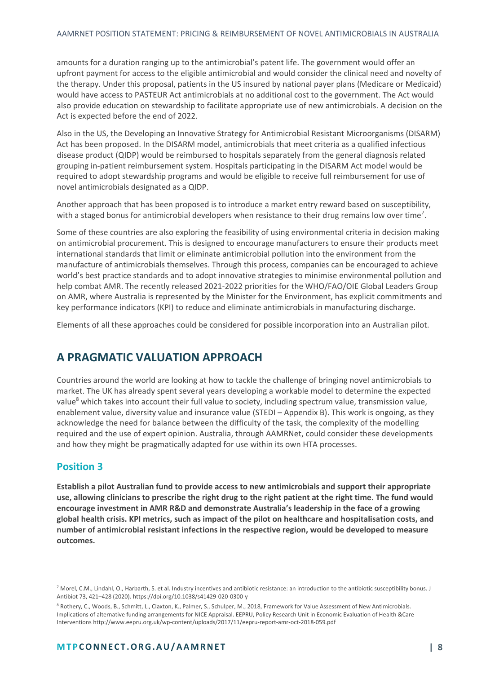amounts for a duration ranging up to the antimicrobial's patent life. The government would offer an upfront payment for access to the eligible antimicrobial and would consider the clinical need and novelty of the therapy. Under this proposal, patients in the US insured by national payer plans (Medicare or Medicaid) would have access to PASTEUR Act antimicrobials at no additional cost to the government. The Act would also provide education on stewardship to facilitate appropriate use of new antimicrobials. A decision on the Act is expected before the end of 2022.

Also in the US, the Developing an Innovative Strategy for Antimicrobial Resistant Microorganisms (DISARM) Act has been proposed. In the DISARM model, antimicrobials that meet criteria as a qualified infectious disease product (QIDP) would be reimbursed to hospitals separately from the general diagnosis related grouping in-patient reimbursement system. Hospitals participating in the DISARM Act model would be required to adopt stewardship programs and would be eligible to receive full reimbursement for use of novel antimicrobials designated as a QIDP.

Another approach that has been proposed is to introduce a market entry reward based on susceptibility, with a staged bonus for antimicrobial developers when resistance to their drug remains low over time<sup>7</sup>.

Some of these countries are also exploring the feasibility of using environmental criteria in decision making on antimicrobial procurement. This is designed to encourage manufacturers to ensure their products meet international standards that limit or eliminate antimicrobial pollution into the environment from the manufacture of antimicrobials themselves. Through this process, companies can be encouraged to achieve world's best practice standards and to adopt innovative strategies to minimise environmental pollution and help combat AMR. The recently released 2021-2022 priorities for the WHO/FAO/OIE Global Leaders Group on AMR, where Australia is represented by the Minister for the Environment, has explicit commitments and key performance indicators (KPI) to reduce and eliminate antimicrobials in manufacturing discharge.

Elements of all these approaches could be considered for possible incorporation into an Australian pilot.

## <span id="page-7-0"></span>**A PRAGMATIC VALUATION APPROACH**

Countries around the world are looking at how to tackle the challenge of bringing novel antimicrobials to market. The UK has already spent several years developing a workable model to determine the expected value<sup>8</sup> which takes into account their full value to society, including spectrum value, transmission value, enablement value, diversity value and insurance value (STEDI – Appendix B). This work is ongoing, as they acknowledge the need for balance between the difficulty of the task, the complexity of the modelling required and the use of expert opinion. Australia, through AAMRNet, could consider these developments and how they might be pragmatically adapted for use within its own HTA processes.

#### <span id="page-7-1"></span>**Position 3**

**Establish a pilot Australian fund to provide access to new antimicrobials and support their appropriate use, allowing clinicians to prescribe the right drug to the right patient at the right time. The fund would encourage investment in AMR R&D and demonstrate Australia's leadership in the face of a growing global health crisis. KPI metrics, such as impact of the pilot on healthcare and hospitalisation costs, and number of antimicrobial resistant infections in the respective region, would be developed to measure outcomes.**

<sup>&</sup>lt;sup>7</sup> Morel, C.M., Lindahl, O., Harbarth, S. et al. Industry incentives and antibiotic resistance: an introduction to the antibiotic susceptibility bonus. J Antibiot 73, 421–428 (2020). https://doi.org/10.1038/s41429-020-0300-y

<sup>8</sup> Rothery, C., Woods, B., Schmitt, L., Claxton, K., Palmer, S., Schulper, M., 2018, Framework for Value Assessment of New Antimicrobials. Implications of alternative funding arrangements for NICE Appraisal. EEPRU, Policy Research Unit in Economic Evaluation of Health &Care Interventions http://www.eepru.org.uk/wp-content/uploads/2017/11/eepru-report-amr-oct-2018-059.pdf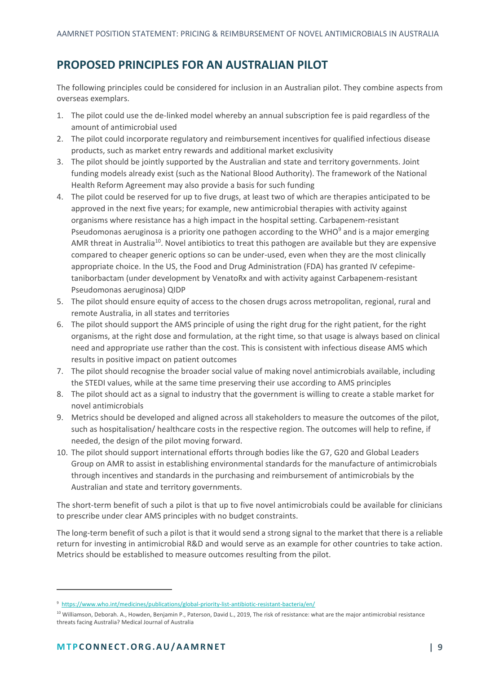# <span id="page-8-0"></span>**PROPOSED PRINCIPLES FOR AN AUSTRALIAN PILOT**

The following principles could be considered for inclusion in an Australian pilot. They combine aspects from overseas exemplars.

- 1. The pilot could use the de-linked model whereby an annual subscription fee is paid regardless of the amount of antimicrobial used
- 2. The pilot could incorporate regulatory and reimbursement incentives for qualified infectious disease products, such as market entry rewards and additional market exclusivity
- 3. The pilot should be jointly supported by the Australian and state and territory governments. Joint funding models already exist (such as the National Blood Authority). The framework of the National Health Reform Agreement may also provide a basis for such funding
- 4. The pilot could be reserved for up to five drugs, at least two of which are therapies anticipated to be approved in the next five years; for example, new antimicrobial therapies with activity against organisms where resistance has a high impact in the hospital setting. Carbapenem-resistant Pseudomonas aeruginosa is a priority one pathogen according to the WHO<sup>9</sup> and is a major emerging AMR threat in Australia<sup>10</sup>. Novel antibiotics to treat this pathogen are available but they are expensive compared to cheaper generic options so can be under-used, even when they are the most clinically appropriate choice. In the US, the Food and Drug Administration (FDA) has granted IV cefepimetaniborbactam (under development by VenatoRx and with activity against Carbapenem-resistant Pseudomonas aeruginosa) QIDP
- 5. The pilot should ensure equity of access to the chosen drugs across metropolitan, regional, rural and remote Australia, in all states and territories
- 6. The pilot should support the AMS principle of using the right drug for the right patient, for the right organisms, at the right dose and formulation, at the right time, so that usage is always based on clinical need and appropriate use rather than the cost. This is consistent with infectious disease AMS which results in positive impact on patient outcomes
- 7. The pilot should recognise the broader social value of making novel antimicrobials available, including the STEDI values, while at the same time preserving their use according to AMS principles
- 8. The pilot should act as a signal to industry that the government is willing to create a stable market for novel antimicrobials
- 9. Metrics should be developed and aligned across all stakeholders to measure the outcomes of the pilot, such as hospitalisation/ healthcare costs in the respective region. The outcomes will help to refine, if needed, the design of the pilot moving forward.
- 10. The pilot should support international efforts through bodies like the G7, G20 and Global Leaders Group on AMR to assist in establishing environmental standards for the manufacture of antimicrobials through incentives and standards in the purchasing and reimbursement of antimicrobials by the Australian and state and territory governments.

The short-term benefit of such a pilot is that up to five novel antimicrobials could be available for clinicians to prescribe under clear AMS principles with no budget constraints.

The long-term benefit of such a pilot is that it would send a strong signal to the market that there is a reliable return for investing in antimicrobial R&D and would serve as an example for other countries to take action. Metrics should be established to measure outcomes resulting from the pilot.

<sup>9</sup> <https://www.who.int/medicines/publications/global-priority-list-antibiotic-resistant-bacteria/en/>

<sup>&</sup>lt;sup>10</sup> Williamson, Deborah. A., Howden, Benjamin P., Paterson, David L., 2019, The risk of resistance: what are the major antimicrobial resistance threats facing Australia? Medical Journal of Australia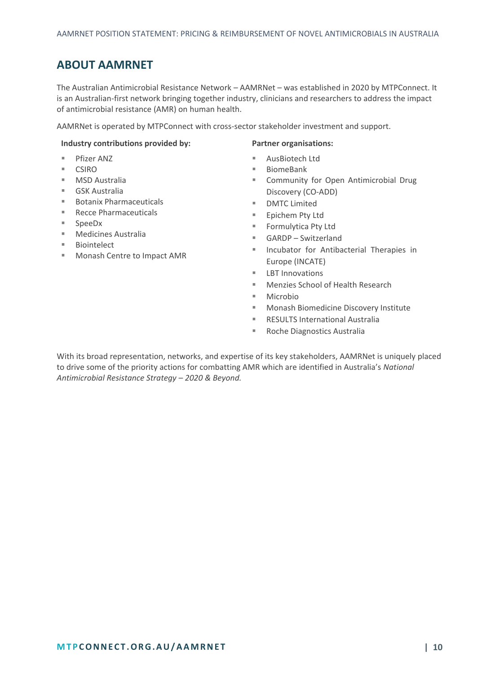# <span id="page-9-0"></span>**ABOUT AAMRNET**

The Australian Antimicrobial Resistance Network – AAMRNet – was established in 2020 by MTPConnect. It is an Australian-first network bringing together industry, clinicians and researchers to address the impact of antimicrobial resistance (AMR) on human health.

AAMRNet is operated by MTPConnect with cross-sector stakeholder investment and support.

#### **Industry contributions provided by: Partner organisations:**

- Pfizer ANZ
- **CSIRO**
- **MSD Australia**
- GSK Australia
- Botanix Pharmaceuticals
- Recce Pharmaceuticals
- SpeeDx
- Medicines Australia
- Biointelect
- Monash Centre to Impact AMR

- AusBiotech Ltd
- **BiomeBank**
- Community for Open Antimicrobial Drug Discovery (CO-ADD)
- DMTC Limited
- Epichem Pty Ltd
- Formulytica Pty Ltd
- GARDP Switzerland
- Incubator for Antibacterial Therapies in Europe (INCATE)
- LBT Innovations
- Menzies School of Health Research
- Microbio
- Monash Biomedicine Discovery Institute
- **RESULTS International Australia**
- Roche Diagnostics Australia

With its broad representation, networks, and expertise of its key stakeholders, AAMRNet is uniquely placed to drive some of the priority actions for combatting AMR which are identified in Australia's *National Antimicrobial Resistance Strategy – 2020 & Beyond.*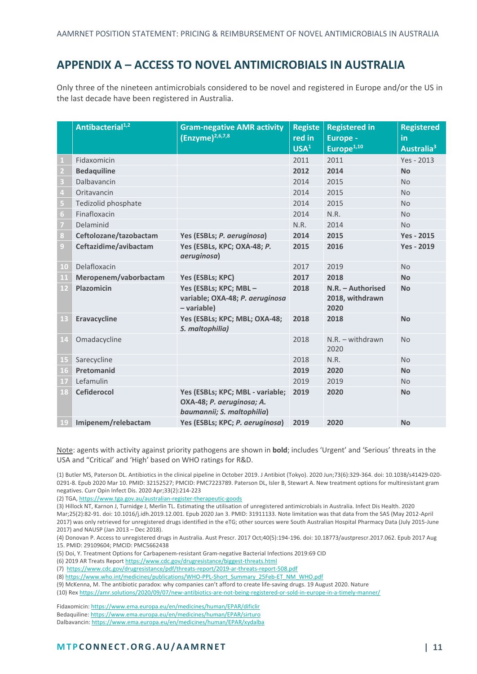# <span id="page-10-0"></span>**APPENDIX A – ACCESS TO NOVEL ANTIMICROBIALS IN AUSTRALIA**

Only three of the nineteen antimicrobials considered to be novel and registered in Europe and/or the US in the last decade have been registered in Australia.

|                | Antibacterial <sup>1,2</sup> | <b>Gram-negative AMR activity</b><br>$E(Enzyme)^{2,6,7,8}$                                  | <b>Registe</b><br>red in<br>USA <sup>1</sup> | <b>Registered in</b><br>Europe -<br>Europe <sup>1,10</sup> | <b>Registered</b><br>in<br>Australia <sup>3</sup> |
|----------------|------------------------------|---------------------------------------------------------------------------------------------|----------------------------------------------|------------------------------------------------------------|---------------------------------------------------|
| 1              | Fidaxomicin                  |                                                                                             | 2011                                         | 2011                                                       | Yes - 2013                                        |
| $\overline{2}$ | <b>Bedaquiline</b>           |                                                                                             | 2012                                         | 2014                                                       | <b>No</b>                                         |
| 3              | Dalbavancin                  |                                                                                             | 2014                                         | 2015                                                       | <b>No</b>                                         |
| $\overline{a}$ | Oritavancin                  |                                                                                             | 2014                                         | 2015                                                       | <b>No</b>                                         |
| 5              | Tedizolid phosphate          |                                                                                             | 2014                                         | 2015                                                       | <b>No</b>                                         |
| 6              | Finafloxacin                 |                                                                                             | 2014                                         | N.R.                                                       | <b>No</b>                                         |
| 7              | Delaminid                    |                                                                                             | N.R.                                         | 2014                                                       | <b>No</b>                                         |
| 8              | Ceftolozane/tazobactam       | Yes (ESBLs; P. aeruginosa)                                                                  | 2014                                         | 2015                                                       | <b>Yes - 2015</b>                                 |
| 9              | Ceftazidime/avibactam        | Yes (ESBLs, KPC; OXA-48; P.<br>aeruginosa)                                                  | 2015                                         | 2016                                                       | <b>Yes - 2019</b>                                 |
| 10             | Delafloxacin                 |                                                                                             | 2017                                         | 2019                                                       | <b>No</b>                                         |
| 11             | Meropenem/vaborbactam        | Yes (ESBLs; KPC)                                                                            | 2017                                         | 2018                                                       | <b>No</b>                                         |
| 12             | Plazomicin                   | Yes (ESBLs; KPC; MBL-<br>variable; OXA-48; P. aeruginosa<br>- variable)                     | 2018                                         | N.R. - Authorised<br>2018, withdrawn<br>2020               | <b>No</b>                                         |
| 13             | Eravacycline                 | Yes (ESBLs; KPC; MBL; OXA-48;<br>S. maltophilia)                                            | 2018                                         | 2018                                                       | <b>No</b>                                         |
| 14             | Omadacycline                 |                                                                                             | 2018                                         | $N.R. - with drawn$<br>2020                                | <b>No</b>                                         |
| 15             | Sarecycline                  |                                                                                             | 2018                                         | N.R.                                                       | <b>No</b>                                         |
| 16             | Pretomanid                   |                                                                                             | 2019                                         | 2020                                                       | <b>No</b>                                         |
| 17             | Lefamulin                    |                                                                                             | 2019                                         | 2019                                                       | <b>No</b>                                         |
| 18             | <b>Cefiderocol</b>           | Yes (ESBLs; KPC; MBL - variable;<br>OXA-48; P. aeruginosa; A.<br>baumannii; S. maltophilia) | 2019                                         | 2020                                                       | <b>No</b>                                         |
| 19             | Imipenem/relebactam          | Yes (ESBLs; KPC; P. aeruginosa)                                                             | 2019                                         | 2020                                                       | <b>No</b>                                         |

Note: agents with activity against priority pathogens are shown in **bold**; includes 'Urgent' and 'Serious' threats in the USA and "Critical' and 'High' based on WHO ratings for R&D.

(1) Butler MS, Paterson DL. Antibiotics in the clinical pipeline in October 2019. J Antibiot (Tokyo). 2020 Jun;73(6):329-364. doi: 10.1038/s41429-020- 0291-8. Epub 2020 Mar 10. PMID: 32152527; PMCID: PMC7223789. Paterson DL, Isler B, Stewart A. New treatment options for multiresistant gram negatives. Curr Opin Infect Dis. 2020 Apr;33(2):214-223

(2) TGA[, https://www.tga.gov.au/australian-register-therapeutic-goods](https://www.tga.gov.au/australian-register-therapeutic-goods)

(3) Hillock NT, Karnon J, Turnidge J, Merlin TL. Estimating the utilisation of unregistered antimicrobials in Australia. Infect Dis Health. 2020 Mar;25(2):82-91. doi: 10.1016/j.idh.2019.12.001. Epub 2020 Jan 3. PMID: 31911133. Note limitation was that data from the SAS (May 2012-April

2017) was only retrieved for unregistered drugs identified in the eTG; other sources were South Australian Hospital Pharmacy Data (July 2015-June 2017) and NAUSP (Jan 2013 – Dec 2018).

(4) Donovan P. Access to unregistered drugs in Australia. Aust Prescr. 2017 Oct;40(5):194-196. doi: 10.18773/austprescr.2017.062. Epub 2017 Aug 15. PMID: 29109604; PMCID: PMC5662438

(5) Doi, Y. Treatment Options for Carbapenem-resistant Gram-negative Bacterial Infections 2019:69 CID

(6) 2019 AR Treats Repor[t https://www.cdc.gov/drugresistance/biggest-threats.html](https://www.cdc.gov/drugresistance/biggest-threats.html)

(7)<https://www.cdc.gov/drugresistance/pdf/threats-report/2019-ar-threats-report-508.pdf>

(8[\) https://www.who.int/medicines/publications/WHO-PPL-Short\\_Summary\\_25Feb-ET\\_NM\\_WHO.pdf](https://www.who.int/medicines/publications/WHO-PPL-Short_Summary_25Feb-ET_NM_WHO.pdf)

(9) McKenna, M. The antibiotic paradox: why companies can't afford to create life-saving drugs. 19 August 2020. Nature

(10) Re[x https://amr.solutions/2020/09/07/new-antibiotics-are-not-being-registered-or-sold-in-europe-in-a-timely-manner/](https://amr.solutions/2020/09/07/new-antibiotics-are-not-being-registered-or-sold-in-europe-in-a-timely-manner/)

Fidaxomicin[: https://www.ema.europa.eu/en/medicines/human/EPAR/dificlir](https://www.ema.europa.eu/en/medicines/human/EPAR/dificlir)

Bedaquiline[: https://www.ema.europa.eu/en/medicines/human/EPAR/sirturo](https://www.ema.europa.eu/en/medicines/human/EPAR/sirturo)

Dalbavancin[: https://www.ema.europa.eu/en/medicines/human/EPAR/xydalba](https://www.ema.europa.eu/en/medicines/human/EPAR/xydalba)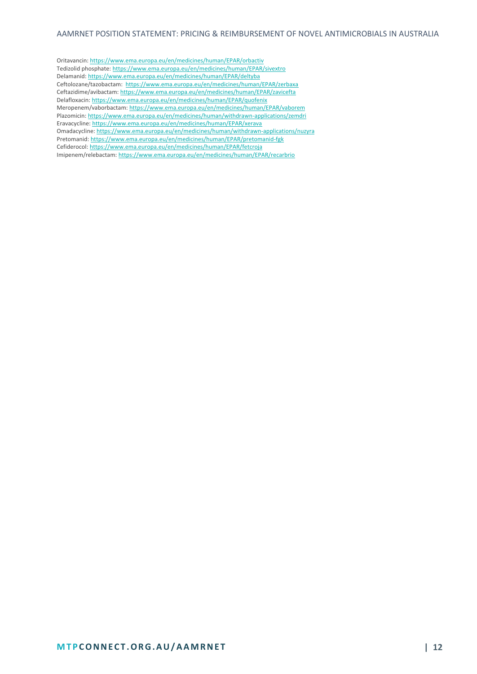Oritavancin[: https://www.ema.europa.eu/en/medicines/human/EPAR/orbactiv](https://www.ema.europa.eu/en/medicines/human/EPAR/orbactiv) Tedizolid phosphate[: https://www.ema.europa.eu/en/medicines/human/EPAR/sivextro](https://www.ema.europa.eu/en/medicines/human/EPAR/sivextro) Delamanid[: https://www.ema.europa.eu/en/medicines/human/EPAR/deltyba](https://www.ema.europa.eu/en/medicines/human/EPAR/deltyba)  Ceftolozane/tazobactam: <https://www.ema.europa.eu/en/medicines/human/EPAR/zerbaxa> Ceftazidime/avibactam[: https://www.ema.europa.eu/en/medicines/human/EPAR/zavicefta](https://www.ema.europa.eu/en/medicines/human/EPAR/zavicefta) Delafloxacin[: https://www.ema.europa.eu/en/medicines/human/EPAR/quofenix](https://www.ema.europa.eu/en/medicines/human/EPAR/quofenix) Meropenem/vaborbactam[: https://www.ema.europa.eu/en/medicines/human/EPAR/vaborem](https://www.ema.europa.eu/en/medicines/human/EPAR/vaborem)  Plazomicin[: https://www.ema.europa.eu/en/medicines/human/withdrawn-applications/zemdri](https://www.ema.europa.eu/en/medicines/human/withdrawn-applications/zemdri) Eravacycline[: https://www.ema.europa.eu/en/medicines/human/EPAR/xerava](https://www.ema.europa.eu/en/medicines/human/EPAR/xerava) Omadacycline[: https://www.ema.europa.eu/en/medicines/human/withdrawn-applications/nuzyra](https://www.ema.europa.eu/en/medicines/human/withdrawn-applications/nuzyra) Pretomanid[: https://www.ema.europa.eu/en/medicines/human/EPAR/pretomanid-fgk](https://www.ema.europa.eu/en/medicines/human/EPAR/pretomanid-fgk)  Cefiderocol[: https://www.ema.europa.eu/en/medicines/human/EPAR/fetcroja](https://www.ema.europa.eu/en/medicines/human/EPAR/fetcroja) Imipenem/relebactam[: https://www.ema.europa.eu/en/medicines/human/EPAR/recarbrio](https://www.ema.europa.eu/en/medicines/human/EPAR/recarbrio)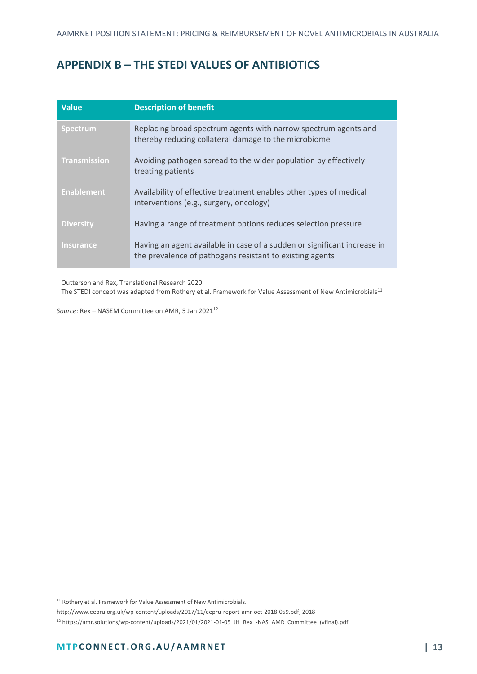# <span id="page-12-0"></span>**APPENDIX B – THE STEDI VALUES OF ANTIBIOTICS**

| <b>Value</b>        | <b>Description of benefit</b>                                                                                                        |
|---------------------|--------------------------------------------------------------------------------------------------------------------------------------|
| <b>Spectrum</b>     | Replacing broad spectrum agents with narrow spectrum agents and<br>thereby reducing collateral damage to the microbiome              |
| <b>Transmission</b> | Avoiding pathogen spread to the wider population by effectively<br>treating patients                                                 |
| <b>Enablement</b>   | Availability of effective treatment enables other types of medical<br>interventions (e.g., surgery, oncology)                        |
| <b>Diversity</b>    | Having a range of treatment options reduces selection pressure                                                                       |
| <b>Insurance</b>    | Having an agent available in case of a sudden or significant increase in<br>the prevalence of pathogens resistant to existing agents |

Outterson and Rex, Translational Research 2020 The STEDI concept was adapted from Rothery et al. Framework for Value Assessment of New Antimicrobials<sup>11</sup>

*Source:* Rex – NASEM Committee on AMR, 5 Jan 2021<sup>12</sup>

 $11$  Rothery et al. Framework for Value Assessment of New Antimicrobials.

http://www.eepru.org.uk/wp‐content/uploads/2017/11/eepru‐report‐amr‐oct‐2018‐059.pdf, 2018

<sup>12</sup> https://amr.solutions/wp-content/uploads/2021/01/2021-01-05\_JH\_Rex\_-NAS\_AMR\_Committee\_(vfinal).pdf